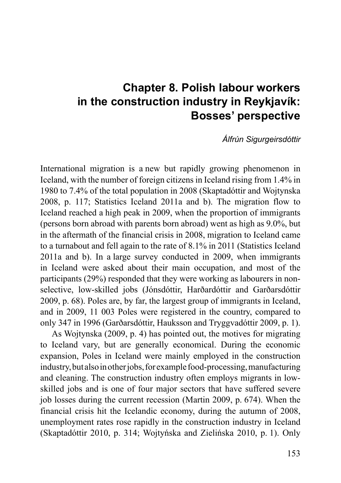# **Chapter 8. Polish labour workers in the construction industry in Reykjavík: Bosses' perspective**

*Álfrún Sigurgeirsdóttir*

International migration is a new but rapidly growing phenomenon in Iceland, with the number of foreign citizens in Iceland rising from 1.4% in 1980 to 7.4% of the total population in 2008 (Skaptadóttir and Wojtynska 2008, p. 117; Statistics Iceland 2011a and b). The migration flow to Iceland reached a high peak in 2009, when the proportion of immigrants (persons born abroad with parents born abroad) went as high as 9.0%, but in the aftermath of the financial crisis in 2008, migration to Iceland came to a turnabout and fell again to the rate of 8.1% in 2011 (Statistics Iceland 2011a and b). In a large survey conducted in 2009, when immigrants in Iceland were asked about their main occupation, and most of the participants (29%) responded that they were working as labourers in nonselective, low-skilled jobs (Jónsdóttir, Harðardóttir and Garðarsdóttir 2009, p. 68). Poles are, by far, the largest group of immigrants in Iceland, and in 2009, 11 003 Poles were registered in the country, compared to only 347 in 1996 (Garðarsdóttir, Hauksson and Tryggvadóttir 2009, p. 1).

As Wojtynska (2009, p. 4) has pointed out, the motives for migrating to Iceland vary, but are generally economical. During the economic expansion, Poles in Iceland were mainly employed in the construction industry, but also in other jobs, for example food-processing, manufacturing and cleaning. The construction industry often employs migrants in lowskilled jobs and is one of four major sectors that have suffered severe job losses during the current recession (Martin 2009, p. 674). When the financial crisis hit the Icelandic economy, during the autumn of 2008, unemployment rates rose rapidly in the construction industry in Iceland (Skaptadóttir 2010, p. 314; Wojtyńska and Zielińska 2010, p. 1). Only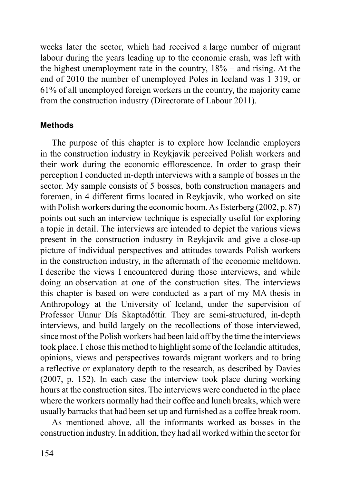weeks later the sector, which had received a large number of migrant labour during the years leading up to the economic crash, was left with the highest unemployment rate in the country, 18% – and rising. At the end of 2010 the number of unemployed Poles in Iceland was 1 319, or 61% of all unemployed foreign workers in the country, the majority came from the construction industry (Directorate of Labour 2011).

### **Methods**

The purpose of this chapter is to explore how Icelandic employers in the construction industry in Reykjavík perceived Polish workers and their work during the economic efflorescence. In order to grasp their perception I conducted in-depth interviews with a sample of bosses in the sector. My sample consists of 5 bosses, both construction managers and foremen, in 4 different firms located in Reykjavík, who worked on site with Polish workers during the economic boom. As Esterberg (2002, p. 87) points out such an interview technique is especially useful for exploring a topic in detail. The interviews are intended to depict the various views present in the construction industry in Reykjavík and give a close-up picture of individual perspectives and attitudes towards Polish workers in the construction industry, in the aftermath of the economic meltdown. I describe the views I encountered during those interviews, and while doing an observation at one of the construction sites. The interviews this chapter is based on were conducted as a part of my MA thesis in Anthropology at the University of Iceland, under the supervision of Professor Unnur Dís Skaptadóttir. They are semi-structured, in-depth interviews, and build largely on the recollections of those interviewed, since most of the Polish workers had been laid off by the time the interviews took place. I chose this method to highlight some of the Icelandic attitudes, opinions, views and perspectives towards migrant workers and to bring a reflective or explanatory depth to the research, as described by Davies (2007, p. 152). In each case the interview took place during working hours at the construction sites. The interviews were conducted in the place where the workers normally had their coffee and lunch breaks, which were usually barracks that had been set up and furnished as a coffee break room.

As mentioned above, all the informants worked as bosses in the construction industry. In addition, they had all worked within the sector for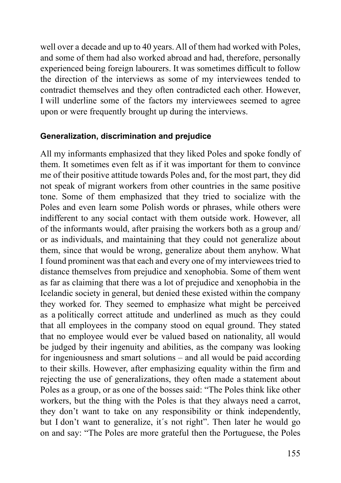well over a decade and up to 40 years. All of them had worked with Poles, and some of them had also worked abroad and had, therefore, personally experienced being foreign labourers. It was sometimes difficult to follow the direction of the interviews as some of my interviewees tended to contradict themselves and they often contradicted each other. However, I will underline some of the factors my interviewees seemed to agree upon or were frequently brought up during the interviews.

## **Generalization, discrimination and prejudice**

All my informants emphasized that they liked Poles and spoke fondly of them. It sometimes even felt as if it was important for them to convince me of their positive attitude towards Poles and, for the most part, they did not speak of migrant workers from other countries in the same positive tone. Some of them emphasized that they tried to socialize with the Poles and even learn some Polish words or phrases, while others were indifferent to any social contact with them outside work. However, all of the informants would, after praising the workers both as a group and/ or as individuals, and maintaining that they could not generalize about them, since that would be wrong, generalize about them anyhow. What I found prominent was that each and every one of my interviewees tried to distance themselves from prejudice and xenophobia. Some of them went as far as claiming that there was a lot of prejudice and xenophobia in the Icelandic society in general, but denied these existed within the company they worked for. They seemed to emphasize what might be perceived as a politically correct attitude and underlined as much as they could that all employees in the company stood on equal ground. They stated that no employee would ever be valued based on nationality, all would be judged by their ingenuity and abilities, as the company was looking for ingeniousness and smart solutions – and all would be paid according to their skills. However, after emphasizing equality within the firm and rejecting the use of generalizations, they often made a statement about Poles as a group, or as one of the bosses said: "The Poles think like other workers, but the thing with the Poles is that they always need a carrot, they don't want to take on any responsibility or think independently, but I don't want to generalize, it´s not right". Then later he would go on and say: "The Poles are more grateful then the Portuguese, the Poles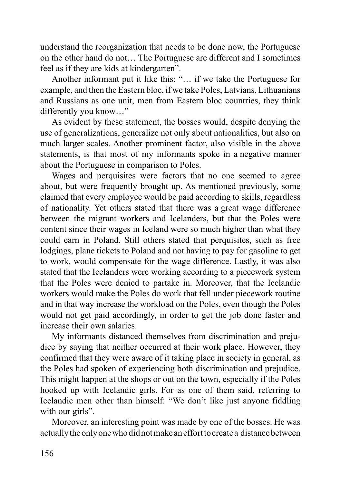understand the reorganization that needs to be done now, the Portuguese on the other hand do not… The Portuguese are different and I sometimes feel as if they are kids at kindergarten".

Another informant put it like this: "… if we take the Portuguese for example, and then the Eastern bloc, if we take Poles, Latvians, Lithuanians and Russians as one unit, men from Eastern bloc countries, they think differently you know…"

As evident by these statement, the bosses would, despite denying the use of generalizations, generalize not only about nationalities, but also on much larger scales. Another prominent factor, also visible in the above statements, is that most of my informants spoke in a negative manner about the Portuguese in comparison to Poles.

Wages and perquisites were factors that no one seemed to agree about, but were frequently brought up. As mentioned previously, some claimed that every employee would be paid according to skills, regardless of nationality. Yet others stated that there was a great wage difference between the migrant workers and Icelanders, but that the Poles were content since their wages in Iceland were so much higher than what they could earn in Poland. Still others stated that perquisites, such as free lodgings, plane tickets to Poland and not having to pay for gasoline to get to work, would compensate for the wage difference. Lastly, it was also stated that the Icelanders were working according to a piecework system that the Poles were denied to partake in. Moreover, that the Icelandic workers would make the Poles do work that fell under piecework routine and in that way increase the workload on the Poles, even though the Poles would not get paid accordingly, in order to get the job done faster and increase their own salaries.

My informants distanced themselves from discrimination and prejudice by saying that neither occurred at their work place. However, they confirmed that they were aware of it taking place in society in general, as the Poles had spoken of experiencing both discrimination and prejudice. This might happen at the shops or out on the town, especially if the Poles hooked up with Icelandic girls. For as one of them said, referring to Icelandic men other than himself: "We don't like just anyone fiddling with our girls".

Moreover, an interesting point was made by one of the bosses. He was actually the only one who did not make an effort to create a distance between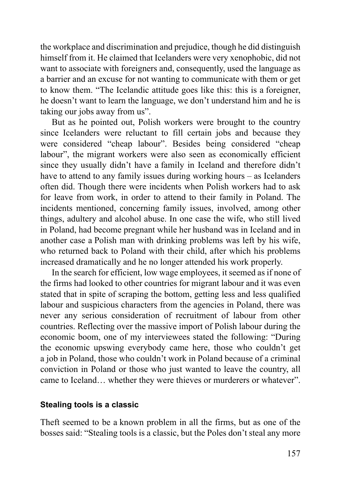the workplace and discrimination and prejudice, though he did distinguish himself from it. He claimed that Icelanders were very xenophobic, did not want to associate with foreigners and, consequently, used the language as a barrier and an excuse for not wanting to communicate with them or get to know them. "The Icelandic attitude goes like this: this is a foreigner, he doesn't want to learn the language, we don't understand him and he is taking our jobs away from us".

But as he pointed out, Polish workers were brought to the country since Icelanders were reluctant to fill certain jobs and because they were considered "cheap labour". Besides being considered "cheap labour", the migrant workers were also seen as economically efficient since they usually didn't have a family in Iceland and therefore didn't have to attend to any family issues during working hours – as Icelanders often did. Though there were incidents when Polish workers had to ask for leave from work, in order to attend to their family in Poland. The incidents mentioned, concerning family issues, involved, among other things, adultery and alcohol abuse. In one case the wife, who still lived in Poland, had become pregnant while her husband was in Iceland and in another case a Polish man with drinking problems was left by his wife, who returned back to Poland with their child, after which his problems increased dramatically and he no longer attended his work properly.

In the search for efficient, low wage employees, it seemed as if none of the firms had looked to other countries for migrant labour and it was even stated that in spite of scraping the bottom, getting less and less qualified labour and suspicious characters from the agencies in Poland, there was never any serious consideration of recruitment of labour from other countries. Reflecting over the massive import of Polish labour during the economic boom, one of my interviewees stated the following: "During the economic upswing everybody came here, those who couldn't get a job in Poland, those who couldn't work in Poland because of a criminal conviction in Poland or those who just wanted to leave the country, all came to Iceland… whether they were thieves or murderers or whatever".

#### **Stealing tools is a classic**

Theft seemed to be a known problem in all the firms, but as one of the bosses said: "Stealing tools is a classic, but the Poles don't steal any more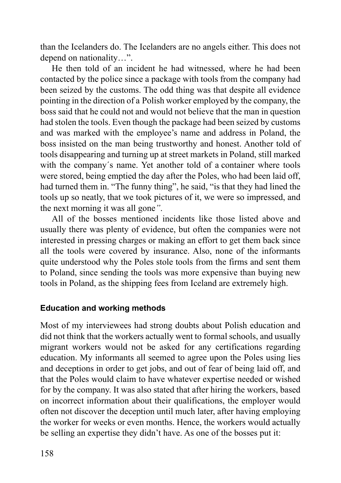than the Icelanders do. The Icelanders are no angels either. This does not depend on nationality…".

He then told of an incident he had witnessed, where he had been contacted by the police since a package with tools from the company had been seized by the customs. The odd thing was that despite all evidence pointing in the direction of a Polish worker employed by the company, the boss said that he could not and would not believe that the man in question had stolen the tools. Even though the package had been seized by customs and was marked with the employee's name and address in Poland, the boss insisted on the man being trustworthy and honest. Another told of tools disappearing and turning up at street markets in Poland, still marked with the company´s name. Yet another told of a container where tools were stored, being emptied the day after the Poles, who had been laid off, had turned them in. "The funny thing", he said, "is that they had lined the tools up so neatly, that we took pictures of it, we were so impressed, and the next morning it was all gone*"*.

All of the bosses mentioned incidents like those listed above and usually there was plenty of evidence, but often the companies were not interested in pressing charges or making an effort to get them back since all the tools were covered by insurance. Also, none of the informants quite understood why the Poles stole tools from the firms and sent them to Poland, since sending the tools was more expensive than buying new tools in Poland, as the shipping fees from Iceland are extremely high.

# **Education and working methods**

Most of my interviewees had strong doubts about Polish education and did not think that the workers actually went to formal schools, and usually migrant workers would not be asked for any certifications regarding education. My informants all seemed to agree upon the Poles using lies and deceptions in order to get jobs, and out of fear of being laid off, and that the Poles would claim to have whatever expertise needed or wished for by the company. It was also stated that after hiring the workers, based on incorrect information about their qualifications, the employer would often not discover the deception until much later, after having employing the worker for weeks or even months. Hence, the workers would actually be selling an expertise they didn't have. As one of the bosses put it: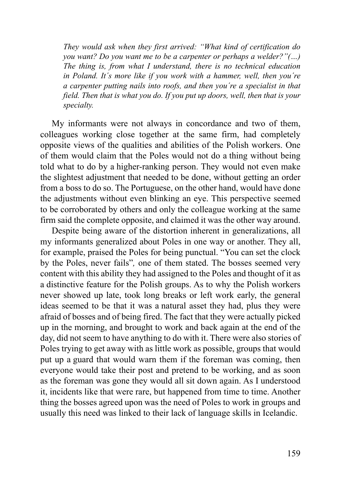*They would ask when they first arrived: "What kind of certification do you want? Do you want me to be a carpenter or perhaps a welder?"(…) The thing is, from what I understand, there is no technical education in Poland. It´s more like if you work with a hammer, well, then you´re a carpenter putting nails into roofs, and then you´re a specialist in that field. Then that is what you do. If you put up doors, well, then that is your specialty.*

My informants were not always in concordance and two of them, colleagues working close together at the same firm, had completely opposite views of the qualities and abilities of the Polish workers. One of them would claim that the Poles would not do a thing without being told what to do by a higher-ranking person. They would not even make the slightest adjustment that needed to be done, without getting an order from a boss to do so. The Portuguese, on the other hand, would have done the adjustments without even blinking an eye. This perspective seemed to be corroborated by others and only the colleague working at the same firm said the complete opposite, and claimed it was the other way around.

Despite being aware of the distortion inherent in generalizations, all my informants generalized about Poles in one way or another. They all, for example, praised the Poles for being punctual. "You can set the clock by the Poles, never fails"*,* one of them stated. The bosses seemed very content with this ability they had assigned to the Poles and thought of it as a distinctive feature for the Polish groups. As to why the Polish workers never showed up late, took long breaks or left work early, the general ideas seemed to be that it was a natural asset they had, plus they were afraid of bosses and of being fired. The fact that they were actually picked up in the morning, and brought to work and back again at the end of the day, did not seem to have anything to do with it. There were also stories of Poles trying to get away with as little work as possible, groups that would put up a guard that would warn them if the foreman was coming, then everyone would take their post and pretend to be working, and as soon as the foreman was gone they would all sit down again. As I understood it, incidents like that were rare, but happened from time to time. Another thing the bosses agreed upon was the need of Poles to work in groups and usually this need was linked to their lack of language skills in Icelandic.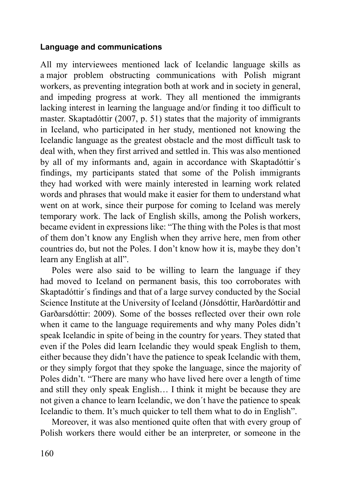## **Language and communications**

All my interviewees mentioned lack of Icelandic language skills as a major problem obstructing communications with Polish migrant workers, as preventing integration both at work and in society in general, and impeding progress at work. They all mentioned the immigrants lacking interest in learning the language and/or finding it too difficult to master. Skaptadóttir (2007, p. 51) states that the majority of immigrants in Iceland, who participated in her study, mentioned not knowing the Icelandic language as the greatest obstacle and the most difficult task to deal with, when they first arrived and settled in. This was also mentioned by all of my informants and, again in accordance with Skaptadóttir´s findings, my participants stated that some of the Polish immigrants they had worked with were mainly interested in learning work related words and phrases that would make it easier for them to understand what went on at work, since their purpose for coming to Iceland was merely temporary work. The lack of English skills, among the Polish workers, became evident in expressions like: "The thing with the Poles is that most of them don't know any English when they arrive here, men from other countries do, but not the Poles. I don't know how it is, maybe they don't learn any English at all".

Poles were also said to be willing to learn the language if they had moved to Iceland on permanent basis, this too corroborates with Skaptadóttir´s findings and that of a large survey conducted by the Social Science Institute at the University of Iceland (Jónsdóttir, Harðardóttir and Garðarsdóttir: 2009). Some of the bosses reflected over their own role when it came to the language requirements and why many Poles didn't speak Icelandic in spite of being in the country for years. They stated that even if the Poles did learn Icelandic they would speak English to them, either because they didn't have the patience to speak Icelandic with them, or they simply forgot that they spoke the language, since the majority of Poles didn't. "There are many who have lived here over a length of time and still they only speak English… I think it might be because they are not given a chance to learn Icelandic, we don´t have the patience to speak Icelandic to them. It's much quicker to tell them what to do in English".

Moreover, it was also mentioned quite often that with every group of Polish workers there would either be an interpreter, or someone in the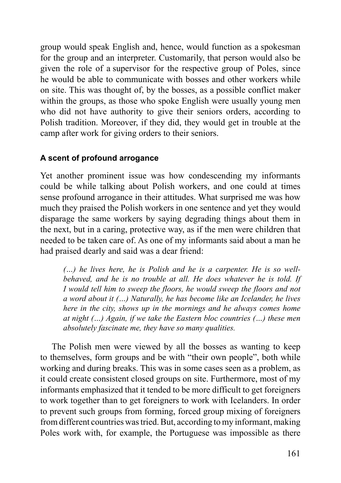group would speak English and, hence, would function as a spokesman for the group and an interpreter. Customarily, that person would also be given the role of a supervisor for the respective group of Poles, since he would be able to communicate with bosses and other workers while on site. This was thought of, by the bosses, as a possible conflict maker within the groups, as those who spoke English were usually young men who did not have authority to give their seniors orders, according to Polish tradition. Moreover, if they did, they would get in trouble at the camp after work for giving orders to their seniors.

# **A scent of profound arrogance**

Yet another prominent issue was how condescending my informants could be while talking about Polish workers, and one could at times sense profound arrogance in their attitudes. What surprised me was how much they praised the Polish workers in one sentence and yet they would disparage the same workers by saying degrading things about them in the next, but in a caring, protective way, as if the men were children that needed to be taken care of. As one of my informants said about a man he had praised dearly and said was a dear friend:

*(…) he lives here, he is Polish and he is a carpenter. He is so wellbehaved, and he is no trouble at all. He does whatever he is told. If I would tell him to sweep the floors, he would sweep the floors and not a word about it (…) Naturally, he has become like an Icelander, he lives here in the city, shows up in the mornings and he always comes home at night (…) Again, if we take the Eastern bloc countries (…) these men absolutely fascinate me, they have so many qualities.*

The Polish men were viewed by all the bosses as wanting to keep to themselves, form groups and be with "their own people", both while working and during breaks. This was in some cases seen as a problem, as it could create consistent closed groups on site. Furthermore, most of my informants emphasized that it tended to be more difficult to get foreigners to work together than to get foreigners to work with Icelanders. In order to prevent such groups from forming, forced group mixing of foreigners from different countries was tried. But, according to my informant, making Poles work with, for example, the Portuguese was impossible as there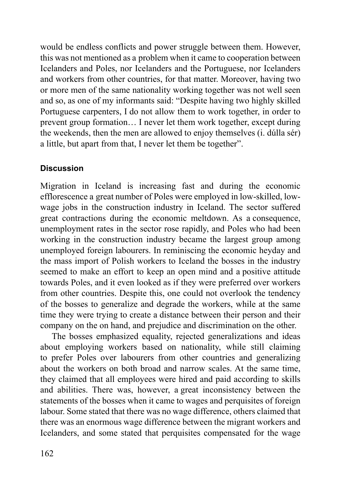would be endless conflicts and power struggle between them. However, this was not mentioned as a problem when it came to cooperation between Icelanders and Poles, nor Icelanders and the Portuguese, nor Icelanders and workers from other countries, for that matter. Moreover, having two or more men of the same nationality working together was not well seen and so, as one of my informants said: "Despite having two highly skilled Portuguese carpenters, I do not allow them to work together, in order to prevent group formation… I never let them work together, except during the weekends, then the men are allowed to enjoy themselves (i. dúlla sér) a little, but apart from that, I never let them be together".

# **Discussion**

Migration in Iceland is increasing fast and during the economic efflorescence a great number of Poles were employed in low-skilled, lowwage jobs in the construction industry in Iceland. The sector suffered great contractions during the economic meltdown. As a consequence, unemployment rates in the sector rose rapidly, and Poles who had been working in the construction industry became the largest group among unemployed foreign labourers. In reminiscing the economic heyday and the mass import of Polish workers to Iceland the bosses in the industry seemed to make an effort to keep an open mind and a positive attitude towards Poles, and it even looked as if they were preferred over workers from other countries. Despite this, one could not overlook the tendency of the bosses to generalize and degrade the workers, while at the same time they were trying to create a distance between their person and their company on the on hand, and prejudice and discrimination on the other.

The bosses emphasized equality, rejected generalizations and ideas about employing workers based on nationality, while still claiming to prefer Poles over labourers from other countries and generalizing about the workers on both broad and narrow scales. At the same time, they claimed that all employees were hired and paid according to skills and abilities. There was, however, a great inconsistency between the statements of the bosses when it came to wages and perquisites of foreign labour. Some stated that there was no wage difference, others claimed that there was an enormous wage difference between the migrant workers and Icelanders, and some stated that perquisites compensated for the wage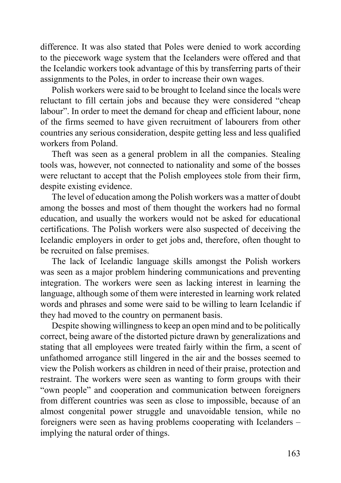difference. It was also stated that Poles were denied to work according to the piecework wage system that the Icelanders were offered and that the Icelandic workers took advantage of this by transferring parts of their assignments to the Poles, in order to increase their own wages.

Polish workers were said to be brought to Iceland since the locals were reluctant to fill certain jobs and because they were considered "cheap labour". In order to meet the demand for cheap and efficient labour, none of the firms seemed to have given recruitment of labourers from other countries any serious consideration, despite getting less and less qualified workers from Poland.

Theft was seen as a general problem in all the companies. Stealing tools was, however, not connected to nationality and some of the bosses were reluctant to accept that the Polish employees stole from their firm, despite existing evidence.

The level of education among the Polish workers was a matter of doubt among the bosses and most of them thought the workers had no formal education, and usually the workers would not be asked for educational certifications. The Polish workers were also suspected of deceiving the Icelandic employers in order to get jobs and, therefore, often thought to be recruited on false premises.

The lack of Icelandic language skills amongst the Polish workers was seen as a major problem hindering communications and preventing integration. The workers were seen as lacking interest in learning the language, although some of them were interested in learning work related words and phrases and some were said to be willing to learn Icelandic if they had moved to the country on permanent basis.

Despite showing willingness to keep an open mind and to be politically correct, being aware of the distorted picture drawn by generalizations and stating that all employees were treated fairly within the firm, a scent of unfathomed arrogance still lingered in the air and the bosses seemed to view the Polish workers as children in need of their praise, protection and restraint. The workers were seen as wanting to form groups with their "own people" and cooperation and communication between foreigners from different countries was seen as close to impossible, because of an almost congenital power struggle and unavoidable tension, while no foreigners were seen as having problems cooperating with Icelanders – implying the natural order of things.